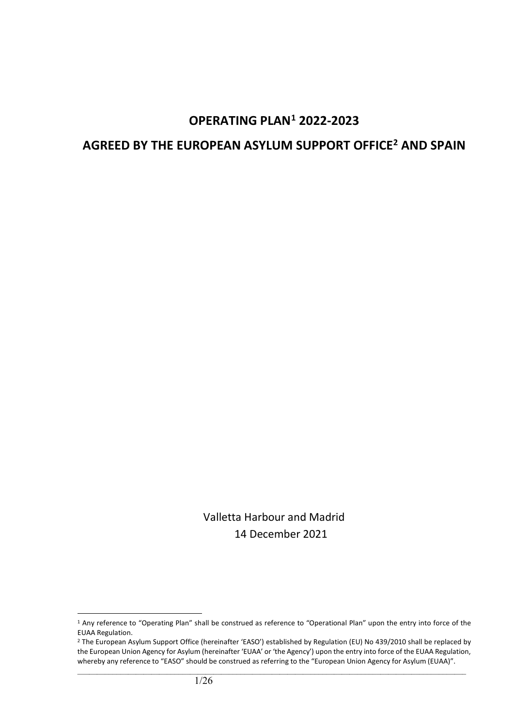# **OPERATING PLAN[1](#page-0-0) 2022-2023**

# **AGREED BY THE EUROPEAN ASYLUM SUPPORT OFFICE[2](#page-0-1) AND SPAIN**

Valletta Harbour and Madrid 14 December 2021

<span id="page-0-0"></span><sup>&</sup>lt;sup>1</sup> Any reference to "Operating Plan" shall be construed as reference to "Operational Plan" upon the entry into force of the EUAA Regulation.

<span id="page-0-1"></span><sup>&</sup>lt;sup>2</sup> The European Asylum Support Office (hereinafter 'EASO') established by Regulation (EU) No 439/2010 shall be replaced by the European Union Agency for Asylum (hereinafter 'EUAA' or 'the Agency') upon the entry into force of the EUAA Regulation, whereby any reference to "EASO" should be construed as referring to the "European Union Agency for Asylum (EUAA)".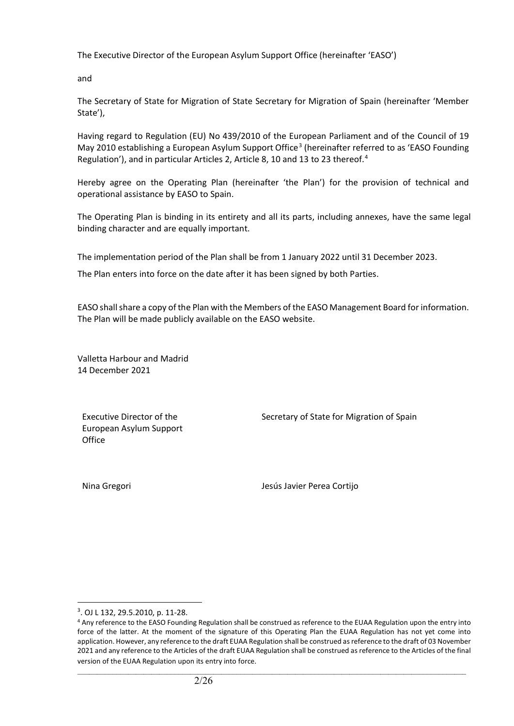The Executive Director of the European Asylum Support Office (hereinafter 'EASO')

and

The Secretary of State for Migration of State Secretary for Migration of Spain (hereinafter 'Member State'),

Having regard to Regulation (EU) No 439/2010 of the European Parliament and of the Council of 19 May 2010 establishing a European Asylum Support Office<sup>[3](#page-1-0)</sup> (hereinafter referred to as 'EASO Founding Regulation'), and in particular Articles 2, Article 8, 10 and 13 to 23 thereof.<sup>[4](#page-1-1)</sup>

Hereby agree on the Operating Plan (hereinafter 'the Plan') for the provision of technical and operational assistance by EASO to Spain.

The Operating Plan is binding in its entirety and all its parts, including annexes, have the same legal binding character and are equally important.

The implementation period of the Plan shall be from 1 January 2022 until 31 December 2023.

The Plan enters into force on the date after it has been signed by both Parties.

EASO shall share a copy of the Plan with the Members of the EASO Management Board for information. The Plan will be made publicly available on the EASO website.

Valletta Harbour and Madrid 14 December 2021

Executive Director of the European Asylum Support **Office** 

Secretary of State for Migration of Spain

Nina Gregori Jesús Javier Perea Cortijo

<span id="page-1-0"></span><sup>3</sup> . OJ L 132, 29.5.2010, p. 11-28.

<span id="page-1-1"></span><sup>4</sup> Any reference to the EASO Founding Regulation shall be construed as reference to the EUAA Regulation upon the entry into force of the latter. At the moment of the signature of this Operating Plan the EUAA Regulation has not yet come into application. However, any reference to the draft EUAA Regulation shall be construed as reference to the draft of 03 November 2021 and any reference to the Articles of the draft EUAA Regulation shall be construed as reference to the Articles of the final version of the EUAA Regulation upon its entry into force.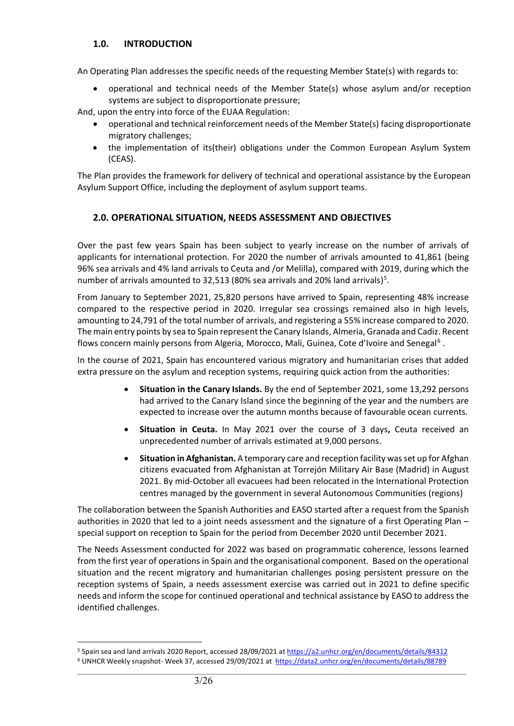## **1.0. INTRODUCTION**

An Operating Plan addresses the specific needs of the requesting Member State(s) with regards to:

• operational and technical needs of the Member State(s) whose asylum and/or reception systems are subject to disproportionate pressure;

And, upon the entry into force of the EUAA Regulation:

- operational and technical reinforcement needs of the Member State(s) facing disproportionate migratory challenges;
- the implementation of its(their) obligations under the Common European Asylum System (CEAS).

The Plan provides the framework for delivery of technical and operational assistance by the European Asylum Support Office, including the deployment of asylum support teams.

## **2.0. OPERATIONAL SITUATION, NEEDS ASSESSMENT AND OBJECTIVES**

Over the past few years Spain has been subject to yearly increase on the number of arrivals of applicants for international protection. For 2020 the number of arrivals amounted to 41,861 (being 96% sea arrivals and 4% land arrivals to Ceuta and /or Melilla), compared with 2019, during which the number of arrivals amounted to 32,[5](#page-2-0)13 (80% sea arrivals and 20% land arrivals)<sup>5</sup>.

From January to September 2021, 25,820 persons have arrived to Spain, representing 48% increase compared to the respective period in 2020. Irregular sea crossings remained also in high levels, amounting to 24,791 of the total number of arrivals, and registering a 55% increase compared to 2020. The main entry points by sea to Spain represent the Canary Islands, Almeria, Granada and Cadiz. Recent flows concern mainly persons from Algeria, Morocco, Mali, Guinea, Cote d'Ivoire and Senegal<sup>[6](#page-2-1)</sup>.

In the course of 2021, Spain has encountered various migratory and humanitarian crises that added extra pressure on the asylum and reception systems, requiring quick action from the authorities:

- **Situation in the Canary Islands.** By the end of September 2021, some 13,292 persons had arrived to the Canary Island since the beginning of the year and the numbers are expected to increase over the autumn months because of favourable ocean currents.
- **Situation in Ceuta.** In May 2021 over the course of 3 days**,** Ceuta received an unprecedented number of arrivals estimated at 9,000 persons.
- **Situation in Afghanistan.** A temporary care and reception facility was set up for Afghan citizens evacuated from Afghanistan at Torrejón Military Air Base (Madrid) in August 2021. By mid-October all evacuees had been relocated in the International Protection centres managed by the government in several Autonomous Communities (regions)

The collaboration between the Spanish Authorities and EASO started after a request from the Spanish authorities in 2020 that led to a joint needs assessment and the signature of a first Operating Plan – special support on reception to Spain for the period from December 2020 until December 2021.

The Needs Assessment conducted for 2022 was based on programmatic coherence, lessons learned from the first year of operations in Spain and the organisational component. Based on the operational situation and the recent migratory and humanitarian challenges posing persistent pressure on the reception systems of Spain, a needs assessment exercise was carried out in 2021 to define specific needs and inform the scope for continued operational and technical assistance by EASO to address the identified challenges.

<span id="page-2-0"></span><sup>5</sup> Spain sea and land arrivals 2020 Report, accessed 28/09/2021 a[t https://a2.unhcr.org/en/documents/details/84312](https://data2.unhcr.org/en/documents/details/84312)

<span id="page-2-1"></span> $\_$  ,  $\_$  ,  $\_$  ,  $\_$  ,  $\_$  ,  $\_$  ,  $\_$  ,  $\_$  ,  $\_$  ,  $\_$  ,  $\_$  ,  $\_$  ,  $\_$  ,  $\_$  ,  $\_$  ,  $\_$  ,  $\_$  ,  $\_$  ,  $\_$  ,  $\_$  ,  $\_$  ,  $\_$  ,  $\_$  ,  $\_$  ,  $\_$  ,  $\_$  ,  $\_$  ,  $\_$  ,  $\_$  ,  $\_$  ,  $\_$  ,  $\_$  ,  $\_$  ,  $\_$  ,  $\_$  ,  $\_$  ,  $\_$  , <sup>6</sup> UNHCR Weekly snapshot- Week 37, accessed 29/09/2021 at<https://data2.unhcr.org/en/documents/details/88789>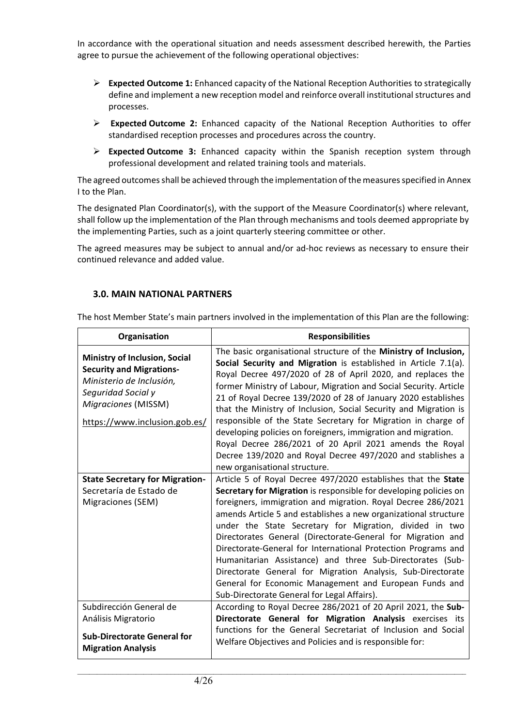In accordance with the operational situation and needs assessment described herewith, the Parties agree to pursue the achievement of the following operational objectives:

- **Expected Outcome 1:** Enhanced capacity of the National Reception Authorities to strategically define and implement a new reception model and reinforce overall institutional structures and processes.
- **Expected Outcome 2:** Enhanced capacity of the National Reception Authorities to offer standardised reception processes and procedures across the country.
- **Expected Outcome 3:** Enhanced capacity within the Spanish reception system through professional development and related training tools and materials.

The agreed outcomes shall be achieved through the implementation of the measures specified in Annex I to the Plan.

The designated Plan Coordinator(s), with the support of the Measure Coordinator(s) where relevant, shall follow up the implementation of the Plan through mechanisms and tools deemed appropriate by the implementing Parties, such as a joint quarterly steering committee or other.

The agreed measures may be subject to annual and/or ad-hoc reviews as necessary to ensure their continued relevance and added value.

## **3.0. MAIN NATIONAL PARTNERS**

| Organisation                                                                                                                                                                      | <b>Responsibilities</b>                                                                                                                                                                                                                                                                                                                                                                                                                                                                                                                                                                                                                                                                                  |
|-----------------------------------------------------------------------------------------------------------------------------------------------------------------------------------|----------------------------------------------------------------------------------------------------------------------------------------------------------------------------------------------------------------------------------------------------------------------------------------------------------------------------------------------------------------------------------------------------------------------------------------------------------------------------------------------------------------------------------------------------------------------------------------------------------------------------------------------------------------------------------------------------------|
| <b>Ministry of Inclusion, Social</b><br><b>Security and Migrations-</b><br>Ministerio de Inclusión,<br>Seguridad Social y<br>Migraciones (MISSM)<br>https://www.inclusion.gob.es/ | The basic organisational structure of the Ministry of Inclusion,<br>Social Security and Migration is established in Article 7.1(a).<br>Royal Decree 497/2020 of 28 of April 2020, and replaces the<br>former Ministry of Labour, Migration and Social Security. Article<br>21 of Royal Decree 139/2020 of 28 of January 2020 establishes<br>that the Ministry of Inclusion, Social Security and Migration is<br>responsible of the State Secretary for Migration in charge of<br>developing policies on foreigners, immigration and migration.<br>Royal Decree 286/2021 of 20 April 2021 amends the Royal<br>Decree 139/2020 and Royal Decree 497/2020 and stablishes a<br>new organisational structure. |
| <b>State Secretary for Migration-</b><br>Secretaría de Estado de<br>Migraciones (SEM)                                                                                             | Article 5 of Royal Decree 497/2020 establishes that the State<br>Secretary for Migration is responsible for developing policies on<br>foreigners, immigration and migration. Royal Decree 286/2021<br>amends Article 5 and establishes a new organizational structure<br>under the State Secretary for Migration, divided in two<br>Directorates General (Directorate-General for Migration and<br>Directorate-General for International Protection Programs and<br>Humanitarian Assistance) and three Sub-Directorates (Sub-<br>Directorate General for Migration Analysis, Sub-Directorate<br>General for Economic Management and European Funds and<br>Sub-Directorate General for Legal Affairs).    |
| Subdirección General de<br>Análisis Migratorio<br><b>Sub-Directorate General for</b><br><b>Migration Analysis</b>                                                                 | According to Royal Decree 286/2021 of 20 April 2021, the Sub-<br>Directorate General for Migration Analysis exercises its<br>functions for the General Secretariat of Inclusion and Social<br>Welfare Objectives and Policies and is responsible for:                                                                                                                                                                                                                                                                                                                                                                                                                                                    |

 $\_$  ,  $\_$  ,  $\_$  ,  $\_$  ,  $\_$  ,  $\_$  ,  $\_$  ,  $\_$  ,  $\_$  ,  $\_$  ,  $\_$  ,  $\_$  ,  $\_$  ,  $\_$  ,  $\_$  ,  $\_$  ,  $\_$  ,  $\_$  ,  $\_$  ,  $\_$  ,  $\_$  ,  $\_$  ,  $\_$  ,  $\_$  ,  $\_$  ,  $\_$  ,  $\_$  ,  $\_$  ,  $\_$  ,  $\_$  ,  $\_$  ,  $\_$  ,  $\_$  ,  $\_$  ,  $\_$  ,  $\_$  ,  $\_$  ,

The host Member State's main partners involved in the implementation of this Plan are the following: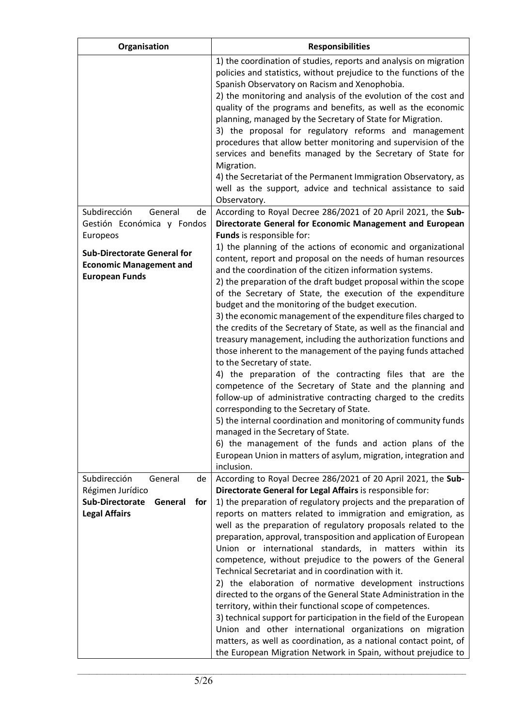| Organisation                                                                                                          | <b>Responsibilities</b>                                                                                                                                                                                                                                                                                                                                                                                                                                                                                                                                                                                                                                                                                                                                                                                                                                                                                                                                                                                                                                                                                                                                                                |
|-----------------------------------------------------------------------------------------------------------------------|----------------------------------------------------------------------------------------------------------------------------------------------------------------------------------------------------------------------------------------------------------------------------------------------------------------------------------------------------------------------------------------------------------------------------------------------------------------------------------------------------------------------------------------------------------------------------------------------------------------------------------------------------------------------------------------------------------------------------------------------------------------------------------------------------------------------------------------------------------------------------------------------------------------------------------------------------------------------------------------------------------------------------------------------------------------------------------------------------------------------------------------------------------------------------------------|
|                                                                                                                       | 1) the coordination of studies, reports and analysis on migration<br>policies and statistics, without prejudice to the functions of the<br>Spanish Observatory on Racism and Xenophobia.<br>2) the monitoring and analysis of the evolution of the cost and<br>quality of the programs and benefits, as well as the economic<br>planning, managed by the Secretary of State for Migration.<br>3) the proposal for regulatory reforms and management<br>procedures that allow better monitoring and supervision of the<br>services and benefits managed by the Secretary of State for<br>Migration.<br>4) the Secretariat of the Permanent Immigration Observatory, as<br>well as the support, advice and technical assistance to said<br>Observatory.                                                                                                                                                                                                                                                                                                                                                                                                                                  |
| Subdirección<br>General<br>de                                                                                         | According to Royal Decree 286/2021 of 20 April 2021, the Sub-                                                                                                                                                                                                                                                                                                                                                                                                                                                                                                                                                                                                                                                                                                                                                                                                                                                                                                                                                                                                                                                                                                                          |
| Gestión Económica y Fondos<br>Europeos                                                                                | Directorate General for Economic Management and European<br>Funds is responsible for:                                                                                                                                                                                                                                                                                                                                                                                                                                                                                                                                                                                                                                                                                                                                                                                                                                                                                                                                                                                                                                                                                                  |
| <b>Sub-Directorate General for</b><br><b>Economic Management and</b><br><b>European Funds</b>                         | 1) the planning of the actions of economic and organizational<br>content, report and proposal on the needs of human resources<br>and the coordination of the citizen information systems.<br>2) the preparation of the draft budget proposal within the scope<br>of the Secretary of State, the execution of the expenditure<br>budget and the monitoring of the budget execution.<br>3) the economic management of the expenditure files charged to<br>the credits of the Secretary of State, as well as the financial and<br>treasury management, including the authorization functions and<br>those inherent to the management of the paying funds attached<br>to the Secretary of state.<br>4) the preparation of the contracting files that are the<br>competence of the Secretary of State and the planning and<br>follow-up of administrative contracting charged to the credits<br>corresponding to the Secretary of State.<br>5) the internal coordination and monitoring of community funds<br>managed in the Secretary of State.<br>6) the management of the funds and action plans of the<br>European Union in matters of asylum, migration, integration and<br>inclusion. |
| Subdirección<br>General<br>de<br>Régimen Jurídico<br><b>Sub-Directorate</b><br>General<br>for<br><b>Legal Affairs</b> | According to Royal Decree 286/2021 of 20 April 2021, the Sub-<br>Directorate General for Legal Affairs is responsible for:<br>1) the preparation of regulatory projects and the preparation of<br>reports on matters related to immigration and emigration, as<br>well as the preparation of regulatory proposals related to the<br>preparation, approval, transposition and application of European<br>Union or international standards, in matters within its<br>competence, without prejudice to the powers of the General<br>Technical Secretariat and in coordination with it.<br>2) the elaboration of normative development instructions<br>directed to the organs of the General State Administration in the<br>territory, within their functional scope of competences.<br>3) technical support for participation in the field of the European<br>Union and other international organizations on migration                                                                                                                                                                                                                                                                    |
|                                                                                                                       | matters, as well as coordination, as a national contact point, of<br>the European Migration Network in Spain, without prejudice to                                                                                                                                                                                                                                                                                                                                                                                                                                                                                                                                                                                                                                                                                                                                                                                                                                                                                                                                                                                                                                                     |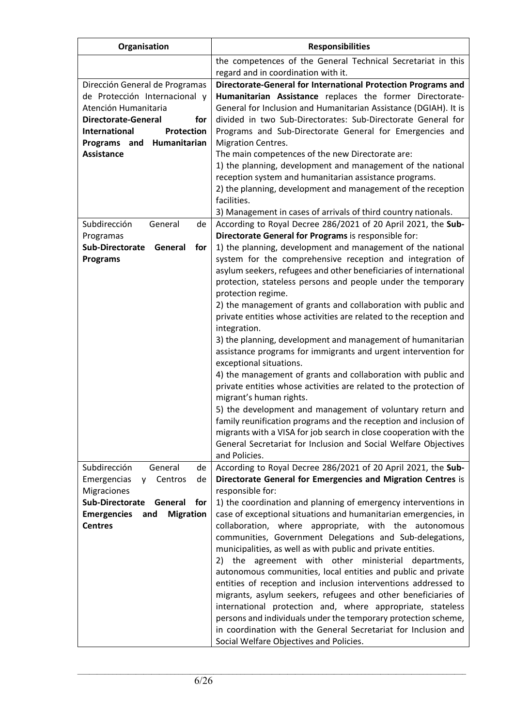| Organisation                                                    | <b>Responsibilities</b>                                                                                                          |
|-----------------------------------------------------------------|----------------------------------------------------------------------------------------------------------------------------------|
|                                                                 | the competences of the General Technical Secretariat in this                                                                     |
|                                                                 | regard and in coordination with it.                                                                                              |
| Dirección General de Programas                                  | Directorate-General for International Protection Programs and                                                                    |
| de Protección Internacional y                                   | Humanitarian Assistance replaces the former Directorate-                                                                         |
| Atención Humanitaria<br>Directorate-General<br>for              | General for Inclusion and Humanitarian Assistance (DGIAH). It is<br>divided in two Sub-Directorates: Sub-Directorate General for |
| <b>International</b><br>Protection                              | Programs and Sub-Directorate General for Emergencies and                                                                         |
| Humanitarian<br>Programs and                                    | <b>Migration Centres.</b>                                                                                                        |
| <b>Assistance</b>                                               | The main competences of the new Directorate are:                                                                                 |
|                                                                 | 1) the planning, development and management of the national                                                                      |
|                                                                 | reception system and humanitarian assistance programs.                                                                           |
|                                                                 | 2) the planning, development and management of the reception                                                                     |
|                                                                 | facilities.                                                                                                                      |
|                                                                 | 3) Management in cases of arrivals of third country nationals.                                                                   |
| Subdirección<br>General<br>de                                   | According to Royal Decree 286/2021 of 20 April 2021, the Sub-                                                                    |
| Programas                                                       | Directorate General for Programs is responsible for:                                                                             |
| Sub-Directorate<br>General<br>for                               | 1) the planning, development and management of the national                                                                      |
| <b>Programs</b>                                                 | system for the comprehensive reception and integration of<br>asylum seekers, refugees and other beneficiaries of international   |
|                                                                 | protection, stateless persons and people under the temporary                                                                     |
|                                                                 | protection regime.                                                                                                               |
|                                                                 | 2) the management of grants and collaboration with public and                                                                    |
|                                                                 | private entities whose activities are related to the reception and                                                               |
|                                                                 | integration.                                                                                                                     |
|                                                                 | 3) the planning, development and management of humanitarian                                                                      |
|                                                                 | assistance programs for immigrants and urgent intervention for                                                                   |
|                                                                 | exceptional situations.                                                                                                          |
|                                                                 | 4) the management of grants and collaboration with public and                                                                    |
|                                                                 | private entities whose activities are related to the protection of<br>migrant's human rights.                                    |
|                                                                 | 5) the development and management of voluntary return and                                                                        |
|                                                                 | family reunification programs and the reception and inclusion of                                                                 |
|                                                                 | migrants with a VISA for job search in close cooperation with the                                                                |
|                                                                 | General Secretariat for Inclusion and Social Welfare Objectives                                                                  |
|                                                                 | and Policies.                                                                                                                    |
| Subdirección<br>General<br>de                                   | According to Royal Decree 286/2021 of 20 April 2021, the Sub-                                                                    |
| Emergencias<br>Centros<br>de<br><b>V</b>                        | Directorate General for Emergencies and Migration Centres is                                                                     |
| <b>Migraciones</b>                                              | responsible for:                                                                                                                 |
| <b>Sub-Directorate</b><br>General<br>for                        | 1) the coordination and planning of emergency interventions in                                                                   |
| <b>Migration</b><br><b>Emergencies</b><br>and<br><b>Centres</b> | case of exceptional situations and humanitarian emergencies, in<br>collaboration, where appropriate, with the autonomous         |
|                                                                 | communities, Government Delegations and Sub-delegations,                                                                         |
|                                                                 | municipalities, as well as with public and private entities.                                                                     |
|                                                                 | agreement with other ministerial<br>2)<br>the<br>departments,                                                                    |
|                                                                 | autonomous communities, local entities and public and private                                                                    |
|                                                                 | entities of reception and inclusion interventions addressed to                                                                   |
|                                                                 | migrants, asylum seekers, refugees and other beneficiaries of                                                                    |
|                                                                 | international protection and, where appropriate, stateless                                                                       |
|                                                                 | persons and individuals under the temporary protection scheme,                                                                   |
|                                                                 | in coordination with the General Secretariat for Inclusion and                                                                   |
|                                                                 | Social Welfare Objectives and Policies.                                                                                          |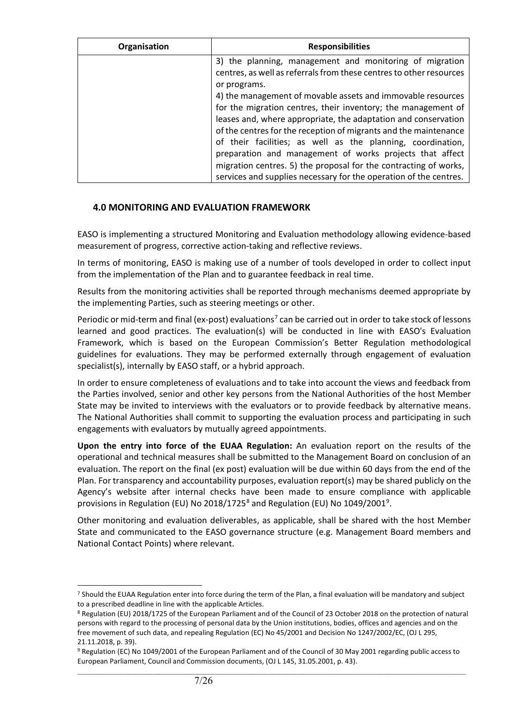| Organisation | <b>Responsibilities</b>                                             |
|--------------|---------------------------------------------------------------------|
|              | 3) the planning, management and monitoring of migration             |
|              | centres, as well as referrals from these centres to other resources |
|              | or programs.                                                        |
|              | 4) the management of movable assets and immovable resources         |
|              | for the migration centres, their inventory; the management of       |
|              | leases and, where appropriate, the adaptation and conservation      |
|              | of the centres for the reception of migrants and the maintenance    |
|              | of their facilities; as well as the planning, coordination,         |
|              | preparation and management of works projects that affect            |
|              | migration centres. 5) the proposal for the contracting of works,    |
|              | services and supplies necessary for the operation of the centres.   |

## **4.0 MONITORING AND EVALUATION FRAMEWORK**

EASO is implementing a structured Monitoring and Evaluation methodology allowing evidence-based measurement of progress, corrective action-taking and reflective reviews.

In terms of monitoring, EASO is making use of a number of tools developed in order to collect input from the implementation of the Plan and to guarantee feedback in real time.

Results from the monitoring activities shall be reported through mechanisms deemed appropriate by the implementing Parties, such as steering meetings or other.

Periodic or mid-term and final (ex-post) evaluations<sup>[7](#page-6-0)</sup> can be carried out in order to take stock of lessons learned and good practices. The evaluation(s) will be conducted in line with EASO's Evaluation Framework, which is based on the European Commission's Better Regulation methodological guidelines for evaluations. They may be performed externally through engagement of evaluation specialist(s), internally by EASO staff, or a hybrid approach.

In order to ensure completeness of evaluations and to take into account the views and feedback from the Parties involved, senior and other key persons from the National Authorities of the host Member State may be invited to interviews with the evaluators or to provide feedback by alternative means. The National Authorities shall commit to supporting the evaluation process and participating in such engagements with evaluators by mutually agreed appointments.

**Upon the entry into force of the EUAA Regulation:** An evaluation report on the results of the operational and technical measures shall be submitted to the Management Board on conclusion of an evaluation. The report on the final (ex post) evaluation will be due within 60 days from the end of the Plan. For transparency and accountability purposes, evaluation report(s) may be shared publicly on the Agency's website after internal checks have been made to ensure compliance with applicable provisions in Regulation (EU) No 201[8](#page-6-1)/1725<sup>8</sup> and Regulation (EU) No 104[9](#page-6-2)/2001<sup>9</sup>.

Other monitoring and evaluation deliverables, as applicable, shall be shared with the host Member State and communicated to the EASO governance structure (e.g. Management Board members and National Contact Points) where relevant.

<span id="page-6-0"></span><sup>7</sup> Should the EUAA Regulation enter into force during the term of the Plan, a final evaluation will be mandatory and subject to a prescribed deadline in line with the applicable Articles.

<span id="page-6-1"></span><sup>8</sup> Regulation (EU) 2018/1725 of the European Parliament and of the Council of 23 October 2018 on the protection of natural persons with regard to the processing of personal data by the Union institutions, bodies, offices and agencies and on the free movement of such data, and repealing Regulation (EC) No 45/2001 and Decision No 1247/2002/EC, (OJ L 295, 21.11.2018, p. 39).

<span id="page-6-2"></span> $\_$  ,  $\_$  ,  $\_$  ,  $\_$  ,  $\_$  ,  $\_$  ,  $\_$  ,  $\_$  ,  $\_$  ,  $\_$  ,  $\_$  ,  $\_$  ,  $\_$  ,  $\_$  ,  $\_$  ,  $\_$  ,  $\_$  ,  $\_$  ,  $\_$  ,  $\_$  ,  $\_$  ,  $\_$  ,  $\_$  ,  $\_$  ,  $\_$  ,  $\_$  ,  $\_$  ,  $\_$  ,  $\_$  ,  $\_$  ,  $\_$  ,  $\_$  ,  $\_$  ,  $\_$  ,  $\_$  ,  $\_$  ,  $\_$  , <sup>9</sup> Regulation (EC) No 1049/2001 of the European Parliament and of the Council of 30 May 2001 regarding public access to European Parliament, Council and Commission documents, (OJ L 145, 31.05.2001, p. 43).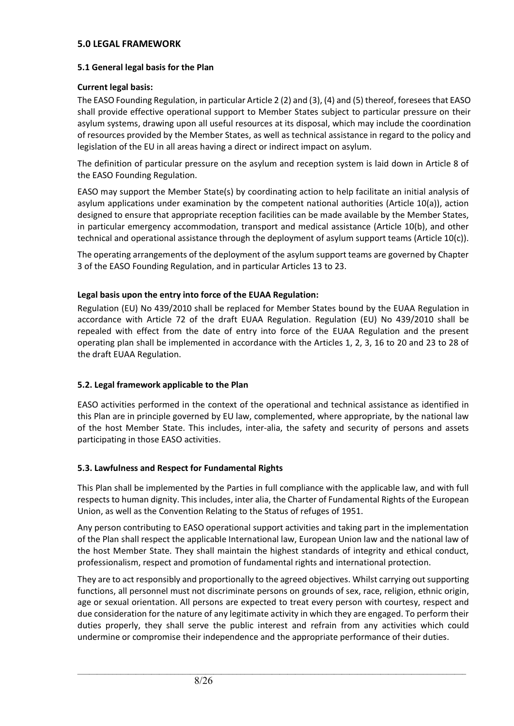## **5.0 LEGAL FRAMEWORK**

## **5.1 General legal basis for the Plan**

## **Current legal basis:**

The EASO Founding Regulation, in particular Article 2 (2) and (3), (4) and (5) thereof, foresees that EASO shall provide effective operational support to Member States subject to particular pressure on their asylum systems, drawing upon all useful resources at its disposal, which may include the coordination of resources provided by the Member States, as well as technical assistance in regard to the policy and legislation of the EU in all areas having a direct or indirect impact on asylum.

The definition of particular pressure on the asylum and reception system is laid down in Article 8 of the EASO Founding Regulation.

EASO may support the Member State(s) by coordinating action to help facilitate an initial analysis of asylum applications under examination by the competent national authorities (Article 10(a)), action designed to ensure that appropriate reception facilities can be made available by the Member States, in particular emergency accommodation, transport and medical assistance (Article 10(b), and other technical and operational assistance through the deployment of asylum support teams (Article 10(c)).

The operating arrangements of the deployment of the asylum support teams are governed by Chapter 3 of the EASO Founding Regulation, and in particular Articles 13 to 23.

## **Legal basis upon the entry into force of the EUAA Regulation:**

Regulation (EU) No 439/2010 shall be replaced for Member States bound by the EUAA Regulation in accordance with Article 72 of the draft EUAA Regulation. Regulation (EU) No 439/2010 shall be repealed with effect from the date of entry into force of the EUAA Regulation and the present operating plan shall be implemented in accordance with the Articles 1, 2, 3, 16 to 20 and 23 to 28 of the draft EUAA Regulation.

## **5.2. Legal framework applicable to the Plan**

EASO activities performed in the context of the operational and technical assistance as identified in this Plan are in principle governed by EU law, complemented, where appropriate, by the national law of the host Member State. This includes, inter-alia, the safety and security of persons and assets participating in those EASO activities.

## **5.3. Lawfulness and Respect for Fundamental Rights**

This Plan shall be implemented by the Parties in full compliance with the applicable law, and with full respects to human dignity. This includes, inter alia, the Charter of Fundamental Rights of the European Union, as well as the Convention Relating to the Status of refuges of 1951.

Any person contributing to EASO operational support activities and taking part in the implementation of the Plan shall respect the applicable International law, European Union law and the national law of the host Member State. They shall maintain the highest standards of integrity and ethical conduct, professionalism, respect and promotion of fundamental rights and international protection.

They are to act responsibly and proportionally to the agreed objectives. Whilst carrying out supporting functions, all personnel must not discriminate persons on grounds of sex, race, religion, ethnic origin, age or sexual orientation. All persons are expected to treat every person with courtesy, respect and due consideration for the nature of any legitimate activity in which they are engaged. To perform their duties properly, they shall serve the public interest and refrain from any activities which could undermine or compromise their independence and the appropriate performance of their duties.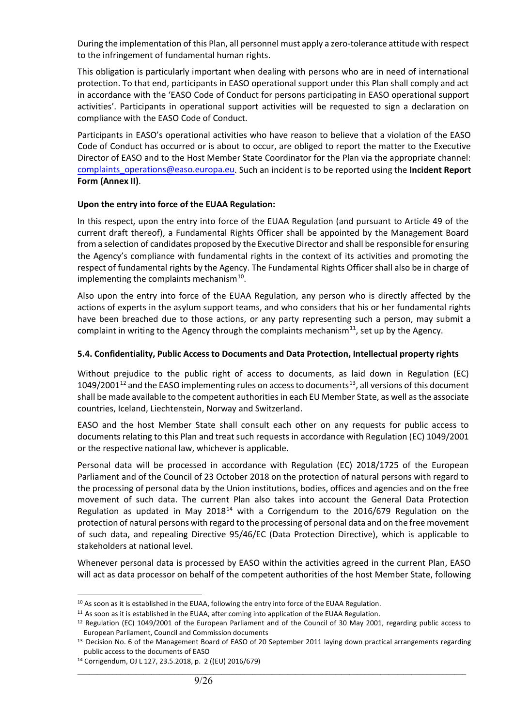During the implementation of this Plan, all personnel must apply a zero-tolerance attitude with respect to the infringement of fundamental human rights.

This obligation is particularly important when dealing with persons who are in need of international protection. To that end, participants in EASO operational support under this Plan shall comply and act in accordance with the 'EASO Code of Conduct for persons participating in EASO operational support activities'. Participants in operational support activities will be requested to sign a declaration on compliance with the EASO Code of Conduct.

Participants in EASO's operational activities who have reason to believe that a violation of the EASO Code of Conduct has occurred or is about to occur, are obliged to report the matter to the Executive Director of EASO and to the Host Member State Coordinator for the Plan via the appropriate channel: [complaints\\_operations@easo.europa.eu.](mailto:complaints_operations@easo.europa.eu) Such an incident is to be reported using the **Incident Report Form (Annex II)**.

#### **Upon the entry into force of the EUAA Regulation:**

In this respect, upon the entry into force of the EUAA Regulation (and pursuant to Article 49 of the current draft thereof), a Fundamental Rights Officer shall be appointed by the Management Board from a selection of candidates proposed by the Executive Director and shall be responsible for ensuring the Agency's compliance with fundamental rights in the context of its activities and promoting the respect of fundamental rights by the Agency. The Fundamental Rights Officer shall also be in charge of implementing the complaints mechanism $10$ .

Also upon the entry into force of the EUAA Regulation, any person who is directly affected by the actions of experts in the asylum support teams, and who considers that his or her fundamental rights have been breached due to those actions, or any party representing such a person, may submit a complaint in writing to the Agency through the complaints mechanism<sup>[11](#page-8-1)</sup>, set up by the Agency.

## **5.4. Confidentiality, Public Access to Documents and Data Protection, Intellectual property rights**

Without prejudice to the public right of access to documents, as laid down in Regulation (EC) 1049/2001<sup>[12](#page-8-2)</sup> and the EASO implementing rules on access to documents<sup>[13](#page-8-3)</sup>, all versions of this document shall be made available to the competent authorities in each EU Member State, as well as the associate countries, Iceland, Liechtenstein, Norway and Switzerland.

EASO and the host Member State shall consult each other on any requests for public access to documents relating to this Plan and treat such requests in accordance with Regulation (EC) 1049/2001 or the respective national law, whichever is applicable.

Personal data will be processed in accordance with Regulation (EC) 2018/1725 of the European Parliament and of the Council of 23 October 2018 on the protection of natural persons with regard to the processing of personal data by the Union institutions, bodies, offices and agencies and on the free movement of such data. The current Plan also takes into account the General Data Protection Regulation as updated in May 2018<sup>[14](#page-8-4)</sup> with a Corrigendum to the 2016/679 Regulation on the protection of natural persons with regard to the processing of personal data and on the free movement of such data, and repealing Directive 95/46/EC (Data Protection Directive), which is applicable to stakeholders at national level.

Whenever personal data is processed by EASO within the activities agreed in the current Plan, EASO will act as data processor on behalf of the competent authorities of the host Member State, following

<span id="page-8-0"></span><sup>&</sup>lt;sup>10</sup> As soon as it is established in the EUAA, following the entry into force of the EUAA Regulation.

<span id="page-8-1"></span><sup>&</sup>lt;sup>11</sup> As soon as it is established in the EUAA, after coming into application of the EUAA Regulation.

<span id="page-8-2"></span><sup>&</sup>lt;sup>12</sup> Regulation (EC) 1049/2001 of the European Parliament and of the Council of 30 May 2001, regarding public access to European Parliament, Council and Commission documents

<span id="page-8-3"></span><sup>&</sup>lt;sup>13</sup> Decision No. 6 of the Management Board of EASO of 20 September 2011 laying down practical arrangements regarding public access to the documents of EASO

<span id="page-8-4"></span><sup>14</sup> Corrigendum, OJ L 127, 23.5.2018, p. 2 ((EU) 2016/679)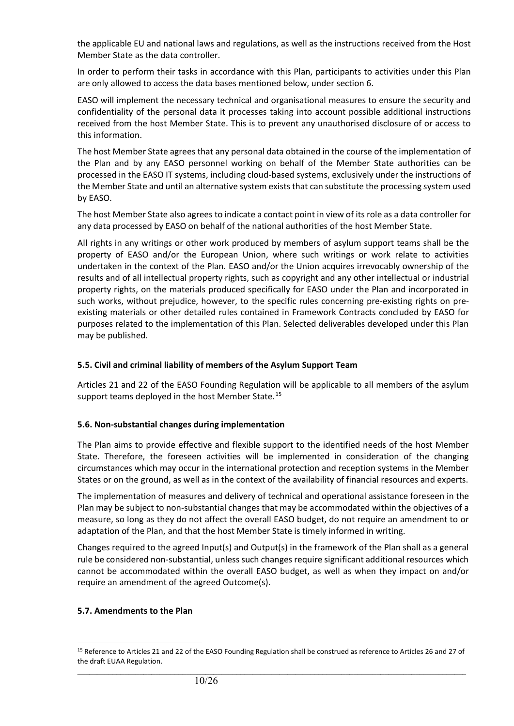the applicable EU and national laws and regulations, as well as the instructions received from the Host Member State as the data controller.

In order to perform their tasks in accordance with this Plan, participants to activities under this Plan are only allowed to access the data bases mentioned below, under section 6.

EASO will implement the necessary technical and organisational measures to ensure the security and confidentiality of the personal data it processes taking into account possible additional instructions received from the host Member State. This is to prevent any unauthorised disclosure of or access to this information.

The host Member State agrees that any personal data obtained in the course of the implementation of the Plan and by any EASO personnel working on behalf of the Member State authorities can be processed in the EASO IT systems, including cloud-based systems, exclusively under the instructions of the Member State and until an alternative system exists that can substitute the processing system used by EASO.

The host Member State also agrees to indicate a contact point in view of its role as a data controller for any data processed by EASO on behalf of the national authorities of the host Member State.

All rights in any writings or other work produced by members of asylum support teams shall be the property of EASO and/or the European Union, where such writings or work relate to activities undertaken in the context of the Plan. EASO and/or the Union acquires irrevocably ownership of the results and of all intellectual property rights, such as copyright and any other intellectual or industrial property rights, on the materials produced specifically for EASO under the Plan and incorporated in such works, without prejudice, however, to the specific rules concerning pre-existing rights on preexisting materials or other detailed rules contained in Framework Contracts concluded by EASO for purposes related to the implementation of this Plan. Selected deliverables developed under this Plan may be published.

## **5.5. Civil and criminal liability of members of the Asylum Support Team**

Articles 21 and 22 of the EASO Founding Regulation will be applicable to all members of the asylum support teams deployed in the host Member State.<sup>[15](#page-9-0)</sup>

#### **5.6. Non-substantial changes during implementation**

The Plan aims to provide effective and flexible support to the identified needs of the host Member State. Therefore, the foreseen activities will be implemented in consideration of the changing circumstances which may occur in the international protection and reception systems in the Member States or on the ground, as well as in the context of the availability of financial resources and experts.

The implementation of measures and delivery of technical and operational assistance foreseen in the Plan may be subject to non-substantial changes that may be accommodated within the objectives of a measure, so long as they do not affect the overall EASO budget, do not require an amendment to or adaptation of the Plan, and that the host Member State is timely informed in writing.

Changes required to the agreed Input(s) and Output(s) in the framework of the Plan shall as a general rule be considered non-substantial, unless such changes require significant additional resources which cannot be accommodated within the overall EASO budget, as well as when they impact on and/or require an amendment of the agreed Outcome(s).

#### **5.7. Amendments to the Plan**

<span id="page-9-0"></span> $\_$  ,  $\_$  ,  $\_$  ,  $\_$  ,  $\_$  ,  $\_$  ,  $\_$  ,  $\_$  ,  $\_$  ,  $\_$  ,  $\_$  ,  $\_$  ,  $\_$  ,  $\_$  ,  $\_$  ,  $\_$  ,  $\_$  ,  $\_$  ,  $\_$  ,  $\_$  ,  $\_$  ,  $\_$  ,  $\_$  ,  $\_$  ,  $\_$  ,  $\_$  ,  $\_$  ,  $\_$  ,  $\_$  ,  $\_$  ,  $\_$  ,  $\_$  ,  $\_$  ,  $\_$  ,  $\_$  ,  $\_$  ,  $\_$  , <sup>15</sup> Reference to Articles 21 and 22 of the EASO Founding Regulation shall be construed as reference to Articles 26 and 27 of the draft EUAA Regulation.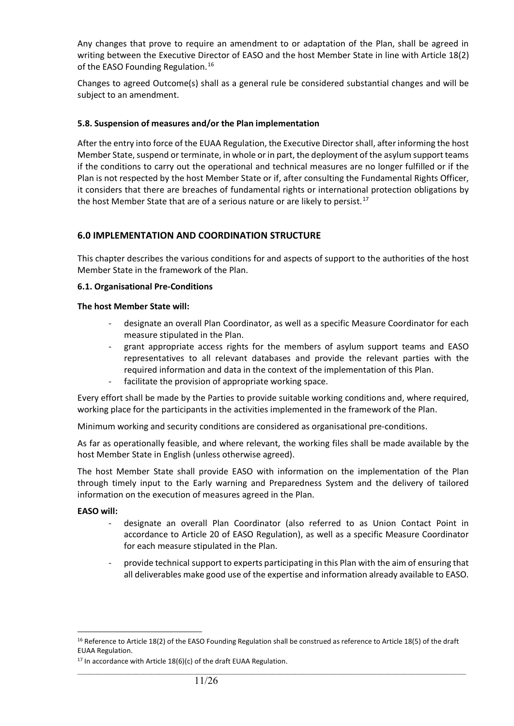Any changes that prove to require an amendment to or adaptation of the Plan, shall be agreed in writing between the Executive Director of EASO and the host Member State in line with Article 18(2) of the EASO Founding Regulation.<sup>[16](#page-10-0)</sup>

Changes to agreed Outcome(s) shall as a general rule be considered substantial changes and will be subject to an amendment.

#### **5.8. Suspension of measures and/or the Plan implementation**

After the entry into force of the EUAA Regulation, the Executive Director shall, after informing the host Member State, suspend or terminate, in whole or in part, the deployment of the asylum support teams if the conditions to carry out the operational and technical measures are no longer fulfilled or if the Plan is not respected by the host Member State or if, after consulting the Fundamental Rights Officer, it considers that there are breaches of fundamental rights or international protection obligations by the host Member State that are of a serious nature or are likely to persist.<sup>[17](#page-10-1)</sup>

## **6.0 IMPLEMENTATION AND COORDINATION STRUCTURE**

This chapter describes the various conditions for and aspects of support to the authorities of the host Member State in the framework of the Plan.

#### **6.1. Organisational Pre-Conditions**

#### **The host Member State will:**

- designate an overall Plan Coordinator, as well as a specific Measure Coordinator for each measure stipulated in the Plan.
- grant appropriate access rights for the members of asylum support teams and EASO representatives to all relevant databases and provide the relevant parties with the required information and data in the context of the implementation of this Plan.
- facilitate the provision of appropriate working space.

Every effort shall be made by the Parties to provide suitable working conditions and, where required, working place for the participants in the activities implemented in the framework of the Plan.

Minimum working and security conditions are considered as organisational pre-conditions.

As far as operationally feasible, and where relevant, the working files shall be made available by the host Member State in English (unless otherwise agreed).

The host Member State shall provide EASO with information on the implementation of the Plan through timely input to the Early warning and Preparedness System and the delivery of tailored information on the execution of measures agreed in the Plan.

#### **EASO will:**

- designate an overall Plan Coordinator (also referred to as Union Contact Point in accordance to Article 20 of EASO Regulation), as well as a specific Measure Coordinator for each measure stipulated in the Plan.
- provide technical support to experts participating in this Plan with the aim of ensuring that all deliverables make good use of the expertise and information already available to EASO.

<span id="page-10-0"></span><sup>&</sup>lt;sup>16</sup> Reference to Article 18(2) of the EASO Founding Regulation shall be construed as reference to Article 18(5) of the draft EUAA Regulation.

<span id="page-10-1"></span> $17$  In accordance with Article 18(6)(c) of the draft EUAA Regulation.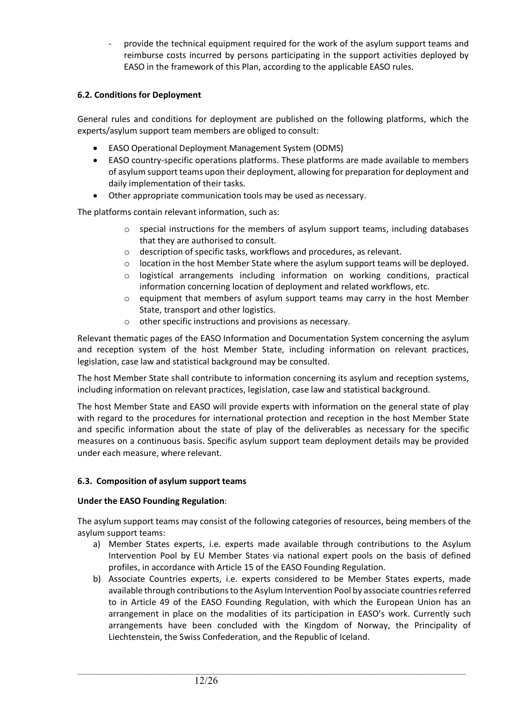provide the technical equipment required for the work of the asylum support teams and reimburse costs incurred by persons participating in the support activities deployed by EASO in the framework of this Plan, according to the applicable EASO rules.

## **6.2. Conditions for Deployment**

General rules and conditions for deployment are published on the following platforms, which the experts/asylum support team members are obliged to consult:

- EASO Operational Deployment Management System (ODMS)
- EASO country-specific operations platforms. These platforms are made available to members of asylum support teams upon their deployment, allowing for preparation for deployment and daily implementation of their tasks.
- Other appropriate communication tools may be used as necessary.

The platforms contain relevant information, such as:

- $\circ$  special instructions for the members of asylum support teams, including databases that they are authorised to consult.
- o description of specific tasks, workflows and procedures, as relevant.
- $\circ$  location in the host Member State where the asylum support teams will be deployed.
- $\circ$  logistical arrangements including information on working conditions, practical information concerning location of deployment and related workflows, etc.
- $\circ$  equipment that members of asylum support teams may carry in the host Member State, transport and other logistics.
- o other specific instructions and provisions as necessary.

Relevant thematic pages of the EASO Information and Documentation System concerning the asylum and reception system of the host Member State, including information on relevant practices, legislation, case law and statistical background may be consulted.

The host Member State shall contribute to information concerning its asylum and reception systems, including information on relevant practices, legislation, case law and statistical background.

The host Member State and EASO will provide experts with information on the general state of play with regard to the procedures for international protection and reception in the host Member State and specific information about the state of play of the deliverables as necessary for the specific measures on a continuous basis. Specific asylum support team deployment details may be provided under each measure, where relevant.

#### **6.3. Composition of asylum support teams**

#### **Under the EASO Founding Regulation**:

The asylum support teams may consist of the following categories of resources, being members of the asylum support teams:

- a) Member States experts, i.e. experts made available through contributions to the Asylum Intervention Pool by EU Member States via national expert pools on the basis of defined profiles, in accordance with Article 15 of the EASO Founding Regulation.
- b) Associate Countries experts, i.e. experts considered to be Member States experts, made available through contributions to the Asylum Intervention Pool by associate countries referred to in Article 49 of the EASO Founding Regulation, with which the European Union has an arrangement in place on the modalities of its participation in EASO's work. Currently such arrangements have been concluded with the Kingdom of Norway, the Principality of Liechtenstein, the Swiss Confederation, and the Republic of Iceland.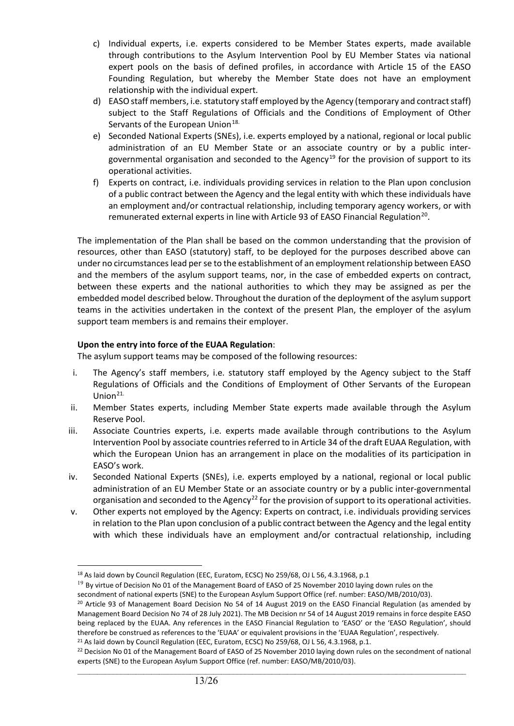- c) Individual experts, i.e. experts considered to be Member States experts, made available through contributions to the Asylum Intervention Pool by EU Member States via national expert pools on the basis of defined profiles, in accordance with Article 15 of the EASO Founding Regulation, but whereby the Member State does not have an employment relationship with the individual expert.
- d) EASO staff members, i.e. statutory staff employed by the Agency (temporary and contract staff) subject to the Staff Regulations of Officials and the Conditions of Employment of Other Servants of the European Union<sup>[18.](#page-12-0)</sup>
- e) Seconded National Experts (SNEs), i.e. experts employed by a national, regional or local public administration of an EU Member State or an associate country or by a public inter-governmental organisation and seconded to the Agency<sup>[19](#page-12-1)</sup> for the provision of support to its operational activities.
- f) Experts on contract, i.e. individuals providing services in relation to the Plan upon conclusion of a public contract between the Agency and the legal entity with which these individuals have an employment and/or contractual relationship, including temporary agency workers, or with remunerated external experts in line with Article 93 of EASO Financial Regulation<sup>[20](#page-12-2)</sup>.

The implementation of the Plan shall be based on the common understanding that the provision of resources, other than EASO (statutory) staff, to be deployed for the purposes described above can under no circumstances lead per se to the establishment of an employment relationship between EASO and the members of the asylum support teams, nor, in the case of embedded experts on contract, between these experts and the national authorities to which they may be assigned as per the embedded model described below. Throughout the duration of the deployment of the asylum support teams in the activities undertaken in the context of the present Plan, the employer of the asylum support team members is and remains their employer.

## **Upon the entry into force of the EUAA Regulation**:

The asylum support teams may be composed of the following resources:

- i. The Agency's staff members, i.e. statutory staff employed by the Agency subject to the Staff Regulations of Officials and the Conditions of Employment of Other Servants of the European Union $21$ .
- ii. Member States experts, including Member State experts made available through the Asylum Reserve Pool.
- iii. Associate Countries experts, i.e. experts made available through contributions to the Asylum Intervention Pool by associate countries referred to in Article 34 of the draft EUAA Regulation, with which the European Union has an arrangement in place on the modalities of its participation in EASO's work.
- iv. Seconded National Experts (SNEs), i.e. experts employed by a national, regional or local public administration of an EU Member State or an associate country or by a public inter-governmental organisation and seconded to the Agency<sup>[22](#page-12-4)</sup> for the provision of support to its operational activities.
- v. Other experts not employed by the Agency: Experts on contract, i.e. individuals providing services in relation to the Plan upon conclusion of a public contract between the Agency and the legal entity with which these individuals have an employment and/or contractual relationship, including

<span id="page-12-1"></span><span id="page-12-0"></span><sup>19</sup> By virtue of Decision No 01 of the Management Board of EASO of 25 November 2010 laying down rules on the secondment of national experts (SNE) to the European Asylum Support Office (ref. number: EASO/MB/2010/03).

<span id="page-12-3"></span><sup>21</sup> As laid down by Council Regulation (EEC, Euratom, ECSC) No 259/68, OJ L 56, 4.3.1968, p.1.

<sup>&</sup>lt;sup>18</sup> As laid down by Council Regulation (EEC, Euratom, ECSC) No 259/68, OJ L 56, 4.3.1968, p.1

<span id="page-12-2"></span><sup>&</sup>lt;sup>20</sup> Article 93 of Management Board Decision No 54 of 14 August 2019 on the EASO Financial Regulation (as amended by Management Board Decision No 74 of 28 July 2021). The MB Decision nr 54 of 14 August 2019 remains in force despite EASO being replaced by the EUAA. Any references in the EASO Financial Regulation to 'EASO' or the 'EASO Regulation', should therefore be construed as references to the 'EUAA' or equivalent provisions in the 'EUAA Regulation', respectively.

<span id="page-12-4"></span> $\_$  ,  $\_$  ,  $\_$  ,  $\_$  ,  $\_$  ,  $\_$  ,  $\_$  ,  $\_$  ,  $\_$  ,  $\_$  ,  $\_$  ,  $\_$  ,  $\_$  ,  $\_$  ,  $\_$  ,  $\_$  ,  $\_$  ,  $\_$  ,  $\_$  ,  $\_$  ,  $\_$  ,  $\_$  ,  $\_$  ,  $\_$  ,  $\_$  ,  $\_$  ,  $\_$  ,  $\_$  ,  $\_$  ,  $\_$  ,  $\_$  ,  $\_$  ,  $\_$  ,  $\_$  ,  $\_$  ,  $\_$  ,  $\_$  , <sup>22</sup> Decision No 01 of the Management Board of EASO of 25 November 2010 laying down rules on the secondment of national experts (SNE) to the European Asylum Support Office (ref. number: EASO/MB/2010/03).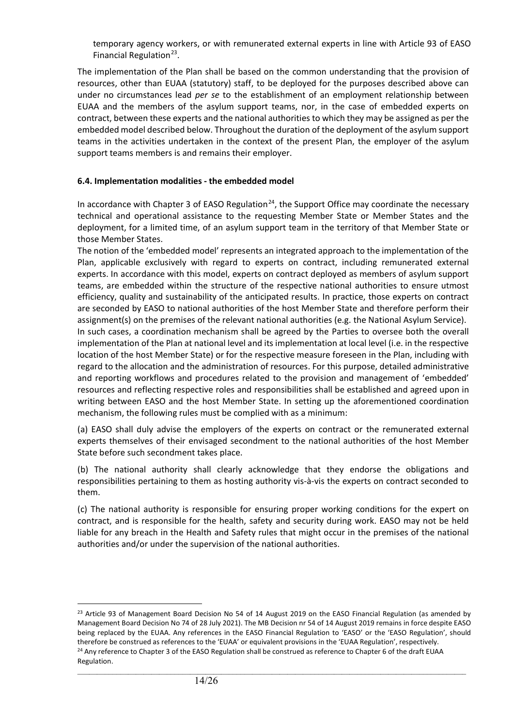temporary agency workers, or with remunerated external experts in line with Article 93 of EASO Financial Regulation $^{23}$  $^{23}$  $^{23}$ .

The implementation of the Plan shall be based on the common understanding that the provision of resources, other than EUAA (statutory) staff, to be deployed for the purposes described above can under no circumstances lead *per se* to the establishment of an employment relationship between EUAA and the members of the asylum support teams, nor, in the case of embedded experts on contract, between these experts and the national authorities to which they may be assigned as per the embedded model described below. Throughout the duration of the deployment of the asylum support teams in the activities undertaken in the context of the present Plan, the employer of the asylum support teams members is and remains their employer.

## **6.4. Implementation modalities - the embedded model**

In accordance with Chapter 3 of EASO Regulation<sup>[24](#page-13-1)</sup>, the Support Office may coordinate the necessary technical and operational assistance to the requesting Member State or Member States and the deployment, for a limited time, of an asylum support team in the territory of that Member State or those Member States.

The notion of the 'embedded model' represents an integrated approach to the implementation of the Plan, applicable exclusively with regard to experts on contract, including remunerated external experts. In accordance with this model, experts on contract deployed as members of asylum support teams, are embedded within the structure of the respective national authorities to ensure utmost efficiency, quality and sustainability of the anticipated results. In practice, those experts on contract are seconded by EASO to national authorities of the host Member State and therefore perform their assignment(s) on the premises of the relevant national authorities (e.g. the National Asylum Service). In such cases, a coordination mechanism shall be agreed by the Parties to oversee both the overall implementation of the Plan at national level and its implementation at local level (i.e. in the respective location of the host Member State) or for the respective measure foreseen in the Plan, including with regard to the allocation and the administration of resources. For this purpose, detailed administrative

and reporting workflows and procedures related to the provision and management of 'embedded' resources and reflecting respective roles and responsibilities shall be established and agreed upon in writing between EASO and the host Member State. In setting up the aforementioned coordination mechanism, the following rules must be complied with as a minimum:

(a) EASO shall duly advise the employers of the experts on contract or the remunerated external experts themselves of their envisaged secondment to the national authorities of the host Member State before such secondment takes place.

(b) The national authority shall clearly acknowledge that they endorse the obligations and responsibilities pertaining to them as hosting authority vis-à-vis the experts on contract seconded to them.

(c) The national authority is responsible for ensuring proper working conditions for the expert on contract, and is responsible for the health, safety and security during work. EASO may not be held liable for any breach in the Health and Safety rules that might occur in the premises of the national authorities and/or under the supervision of the national authorities.

<span id="page-13-1"></span><span id="page-13-0"></span><sup>&</sup>lt;sup>23</sup> Article 93 of Management Board Decision No 54 of 14 August 2019 on the EASO Financial Regulation (as amended by Management Board Decision No 74 of 28 July 2021). The MB Decision nr 54 of 14 August 2019 remains in force despite EASO being replaced by the EUAA. Any references in the EASO Financial Regulation to 'EASO' or the 'EASO Regulation', should therefore be construed as references to the 'EUAA' or equivalent provisions in the 'EUAA Regulation', respectively. <sup>24</sup> Any reference to Chapter 3 of the EASO Regulation shall be construed as reference to Chapter 6 of the draft EUAA Regulation.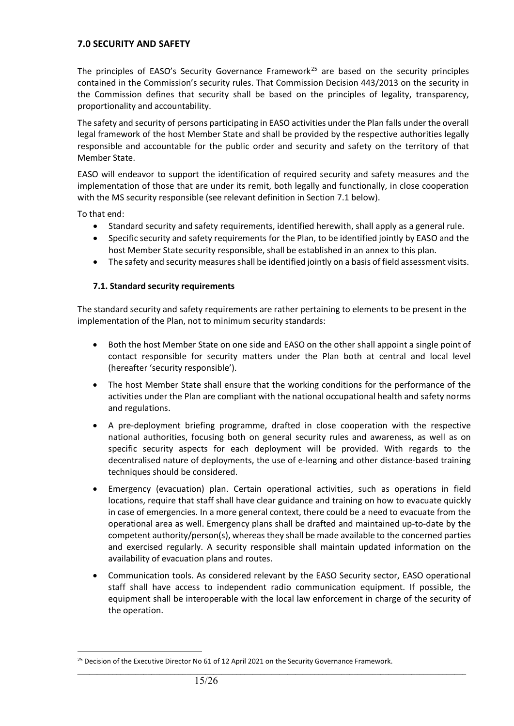## **7.0 SECURITY AND SAFETY**

The principles of EASO's Security Governance Framework<sup>[25](#page-14-0)</sup> are based on the security principles contained in the Commission's security rules. That Commission Decision 443/2013 on the security in the Commission defines that security shall be based on the principles of legality, transparency, proportionality and accountability.

The safety and security of persons participating in EASO activities under the Plan falls under the overall legal framework of the host Member State and shall be provided by the respective authorities legally responsible and accountable for the public order and security and safety on the territory of that Member State.

EASO will endeavor to support the identification of required security and safety measures and the implementation of those that are under its remit, both legally and functionally, in close cooperation with the MS security responsible (see relevant definition in Section 7.1 below).

To that end:

- Standard security and safety requirements, identified herewith, shall apply as a general rule.
- Specific security and safety requirements for the Plan, to be identified jointly by EASO and the host Member State security responsible, shall be established in an annex to this plan.
- The safety and security measures shall be identified jointly on a basis of field assessment visits.

#### **7.1. Standard security requirements**

The standard security and safety requirements are rather pertaining to elements to be present in the implementation of the Plan, not to minimum security standards:

- Both the host Member State on one side and EASO on the other shall appoint a single point of contact responsible for security matters under the Plan both at central and local level (hereafter 'security responsible').
- The host Member State shall ensure that the working conditions for the performance of the activities under the Plan are compliant with the national occupational health and safety norms and regulations.
- A pre-deployment briefing programme, drafted in close cooperation with the respective national authorities, focusing both on general security rules and awareness, as well as on specific security aspects for each deployment will be provided. With regards to the decentralised nature of deployments, the use of e-learning and other distance-based training techniques should be considered.
- Emergency (evacuation) plan. Certain operational activities, such as operations in field locations, require that staff shall have clear guidance and training on how to evacuate quickly in case of emergencies. In a more general context, there could be a need to evacuate from the operational area as well. Emergency plans shall be drafted and maintained up-to-date by the competent authority/person(s), whereas they shall be made available to the concerned parties and exercised regularly. A security responsible shall maintain updated information on the availability of evacuation plans and routes.
- Communication tools. As considered relevant by the EASO Security sector, EASO operational staff shall have access to independent radio communication equipment. If possible, the equipment shall be interoperable with the local law enforcement in charge of the security of the operation.

<span id="page-14-0"></span><sup>&</sup>lt;sup>25</sup> Decision of the Executive Director No 61 of 12 April 2021 on the Security Governance Framework.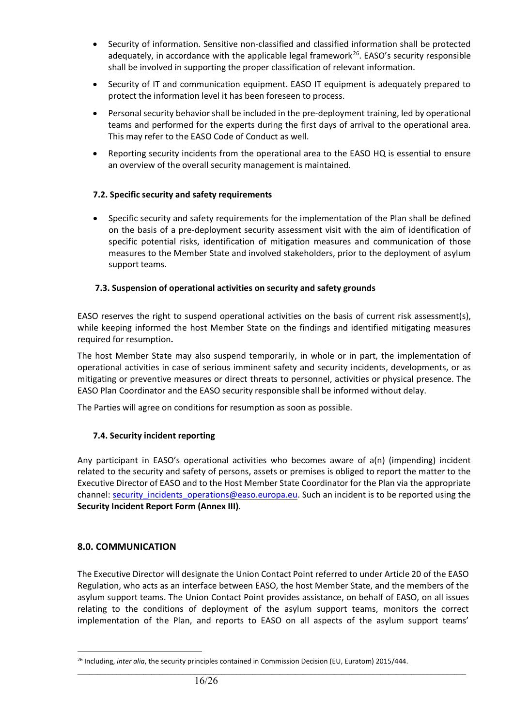- Security of information. Sensitive non-classified and classified information shall be protected adequately, in accordance with the applicable legal framework<sup>[26](#page-15-0)</sup>. EASO's security responsible shall be involved in supporting the proper classification of relevant information.
- Security of IT and communication equipment. EASO IT equipment is adequately prepared to protect the information level it has been foreseen to process.
- Personal security behavior shall be included in the pre-deployment training, led by operational teams and performed for the experts during the first days of arrival to the operational area. This may refer to the EASO Code of Conduct as well.
- Reporting security incidents from the operational area to the EASO HQ is essential to ensure an overview of the overall security management is maintained.

## **7.2. Specific security and safety requirements**

• Specific security and safety requirements for the implementation of the Plan shall be defined on the basis of a pre-deployment security assessment visit with the aim of identification of specific potential risks, identification of mitigation measures and communication of those measures to the Member State and involved stakeholders, prior to the deployment of asylum support teams.

## **7.3. Suspension of operational activities on security and safety grounds**

EASO reserves the right to suspend operational activities on the basis of current risk assessment(s), while keeping informed the host Member State on the findings and identified mitigating measures required for resumption**.**

The host Member State may also suspend temporarily, in whole or in part, the implementation of operational activities in case of serious imminent safety and security incidents, developments, or as mitigating or preventive measures or direct threats to personnel, activities or physical presence. The EASO Plan Coordinator and the EASO security responsible shall be informed without delay.

The Parties will agree on conditions for resumption as soon as possible.

## **7.4. Security incident reporting**

Any participant in EASO's operational activities who becomes aware of a(n) (impending) incident related to the security and safety of persons, assets or premises is obliged to report the matter to the Executive Director of EASO and to the Host Member State Coordinator for the Plan via the appropriate channel: security incidents operations@easo.europa.eu. Such an incident is to be reported using the **Security Incident Report Form (Annex III)**.

#### **8.0. COMMUNICATION**

The Executive Director will designate the Union Contact Point referred to under Article 20 of the EASO Regulation, who acts as an interface between EASO, the host Member State, and the members of the asylum support teams. The Union Contact Point provides assistance, on behalf of EASO, on all issues relating to the conditions of deployment of the asylum support teams, monitors the correct implementation of the Plan, and reports to EASO on all aspects of the asylum support teams'

<span id="page-15-0"></span><sup>&</sup>lt;sup>26</sup> Including, *inter alia*, the security principles contained in Commission Decision (EU, Euratom) 2015/444.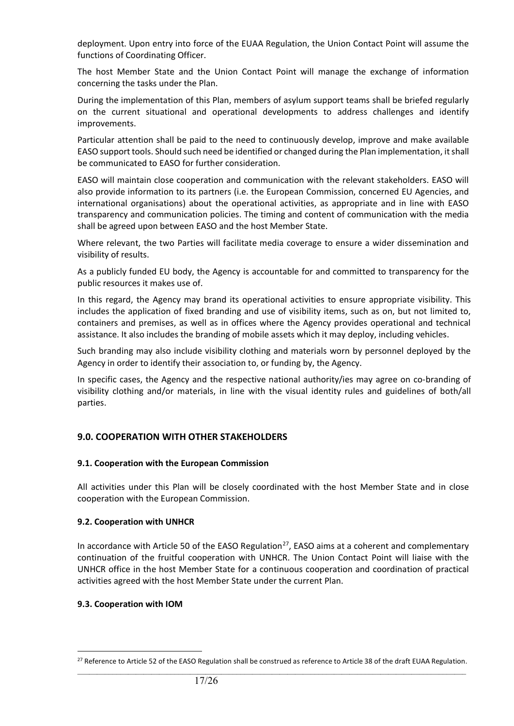deployment. Upon entry into force of the EUAA Regulation, the Union Contact Point will assume the functions of Coordinating Officer.

The host Member State and the Union Contact Point will manage the exchange of information concerning the tasks under the Plan.

During the implementation of this Plan, members of asylum support teams shall be briefed regularly on the current situational and operational developments to address challenges and identify improvements.

Particular attention shall be paid to the need to continuously develop, improve and make available EASO support tools. Should such need be identified or changed during the Plan implementation, it shall be communicated to EASO for further consideration.

EASO will maintain close cooperation and communication with the relevant stakeholders. EASO will also provide information to its partners (i.e. the European Commission, concerned EU Agencies, and international organisations) about the operational activities, as appropriate and in line with EASO transparency and communication policies. The timing and content of communication with the media shall be agreed upon between EASO and the host Member State.

Where relevant, the two Parties will facilitate media coverage to ensure a wider dissemination and visibility of results.

As a publicly funded EU body, the Agency is accountable for and committed to transparency for the public resources it makes use of.

In this regard, the Agency may brand its operational activities to ensure appropriate visibility. This includes the application of fixed branding and use of visibility items, such as on, but not limited to, containers and premises, as well as in offices where the Agency provides operational and technical assistance. It also includes the branding of mobile assets which it may deploy, including vehicles.

Such branding may also include visibility clothing and materials worn by personnel deployed by the Agency in order to identify their association to, or funding by, the Agency.

In specific cases, the Agency and the respective national authority/ies may agree on co-branding of visibility clothing and/or materials, in line with the visual identity rules and guidelines of both/all parties.

## **9.0. COOPERATION WITH OTHER STAKEHOLDERS**

#### **9.1. Cooperation with the European Commission**

All activities under this Plan will be closely coordinated with the host Member State and in close cooperation with the European Commission.

#### **9.2. Cooperation with UNHCR**

In accordance with Article 50 of the EASO Regulation<sup>27</sup>, EASO aims at a coherent and complementary continuation of the fruitful cooperation with UNHCR. The Union Contact Point will liaise with the UNHCR office in the host Member State for a continuous cooperation and coordination of practical activities agreed with the host Member State under the current Plan.

## **9.3. Cooperation with IOM**

<span id="page-16-0"></span> $\_$  ,  $\_$  ,  $\_$  ,  $\_$  ,  $\_$  ,  $\_$  ,  $\_$  ,  $\_$  ,  $\_$  ,  $\_$  ,  $\_$  ,  $\_$  ,  $\_$  ,  $\_$  ,  $\_$  ,  $\_$  ,  $\_$  ,  $\_$  ,  $\_$  ,  $\_$  ,  $\_$  ,  $\_$  ,  $\_$  ,  $\_$  ,  $\_$  ,  $\_$  ,  $\_$  ,  $\_$  ,  $\_$  ,  $\_$  ,  $\_$  ,  $\_$  ,  $\_$  ,  $\_$  ,  $\_$  ,  $\_$  ,  $\_$  , <sup>27</sup> Reference to Article 52 of the EASO Regulation shall be construed as reference to Article 38 of the draft EUAA Regulation.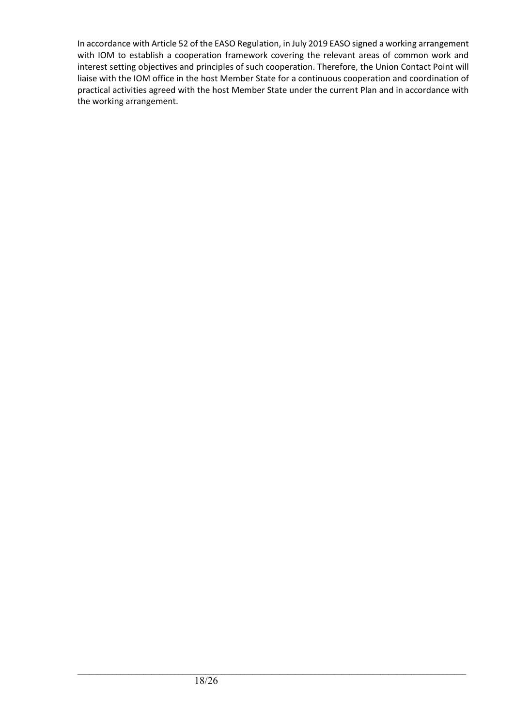In accordance with Article 52 of the EASO Regulation, in July 2019 EASO signed a working arrangement with IOM to establish a cooperation framework covering the relevant areas of common work and interest setting objectives and principles of such cooperation. Therefore, the Union Contact Point will liaise with the IOM office in the host Member State for a continuous cooperation and coordination of practical activities agreed with the host Member State under the current Plan and in accordance with the working arrangement.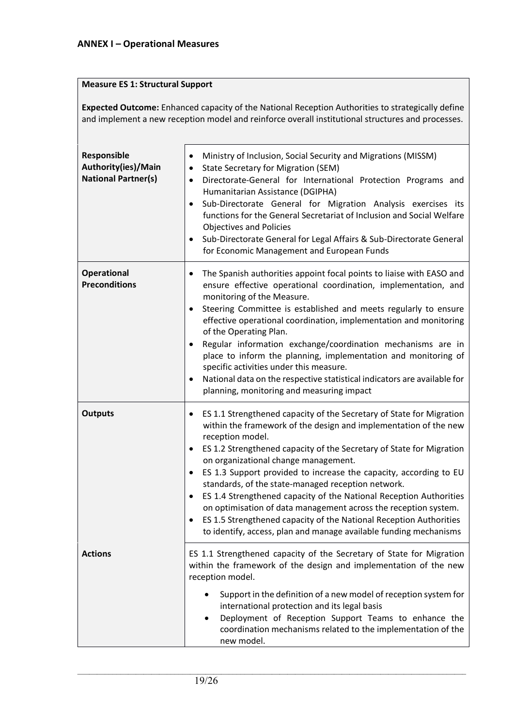## **Measure ES 1: Structural Support**

**Expected Outcome:** Enhanced capacity of the National Reception Authorities to strategically define and implement a new reception model and reinforce overall institutional structures and processes.

| Responsible<br>Authority(ies)/Main<br><b>National Partner(s)</b> | Ministry of Inclusion, Social Security and Migrations (MISSM)<br>٠<br><b>State Secretary for Migration (SEM)</b><br>$\bullet$<br>Directorate-General for International Protection Programs and<br>$\bullet$<br>Humanitarian Assistance (DGIPHA)<br>Sub-Directorate General for Migration Analysis exercises its<br>$\bullet$<br>functions for the General Secretariat of Inclusion and Social Welfare<br><b>Objectives and Policies</b><br>Sub-Directorate General for Legal Affairs & Sub-Directorate General<br>for Economic Management and European Funds                                                                                                                                                               |
|------------------------------------------------------------------|----------------------------------------------------------------------------------------------------------------------------------------------------------------------------------------------------------------------------------------------------------------------------------------------------------------------------------------------------------------------------------------------------------------------------------------------------------------------------------------------------------------------------------------------------------------------------------------------------------------------------------------------------------------------------------------------------------------------------|
| <b>Operational</b><br><b>Preconditions</b>                       | The Spanish authorities appoint focal points to liaise with EASO and<br>$\bullet$<br>ensure effective operational coordination, implementation, and<br>monitoring of the Measure.<br>Steering Committee is established and meets regularly to ensure<br>$\bullet$<br>effective operational coordination, implementation and monitoring<br>of the Operating Plan.<br>Regular information exchange/coordination mechanisms are in<br>place to inform the planning, implementation and monitoring of<br>specific activities under this measure.<br>National data on the respective statistical indicators are available for<br>planning, monitoring and measuring impact                                                      |
| <b>Outputs</b>                                                   | ES 1.1 Strengthened capacity of the Secretary of State for Migration<br>٠<br>within the framework of the design and implementation of the new<br>reception model.<br>ES 1.2 Strengthened capacity of the Secretary of State for Migration<br>$\bullet$<br>on organizational change management.<br>ES 1.3 Support provided to increase the capacity, according to EU<br>$\bullet$<br>standards, of the state-managed reception network.<br>ES 1.4 Strengthened capacity of the National Reception Authorities<br>on optimisation of data management across the reception system.<br>ES 1.5 Strengthened capacity of the National Reception Authorities<br>to identify, access, plan and manage available funding mechanisms |
| <b>Actions</b>                                                   | ES 1.1 Strengthened capacity of the Secretary of State for Migration<br>within the framework of the design and implementation of the new<br>reception model.<br>Support in the definition of a new model of reception system for<br>international protection and its legal basis<br>Deployment of Reception Support Teams to enhance the<br>coordination mechanisms related to the implementation of the<br>new model.                                                                                                                                                                                                                                                                                                     |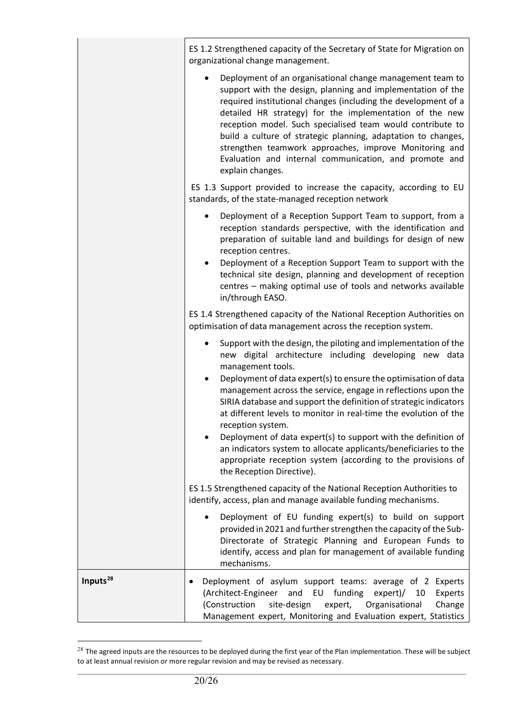|                      | ES 1.2 Strengthened capacity of the Secretary of State for Migration on<br>organizational change management.                                                                                                                                                                                                                                                                                                                                                                                                                                                                                                                                                                                     |
|----------------------|--------------------------------------------------------------------------------------------------------------------------------------------------------------------------------------------------------------------------------------------------------------------------------------------------------------------------------------------------------------------------------------------------------------------------------------------------------------------------------------------------------------------------------------------------------------------------------------------------------------------------------------------------------------------------------------------------|
|                      | Deployment of an organisational change management team to<br>support with the design, planning and implementation of the<br>required institutional changes (including the development of a<br>detailed HR strategy) for the implementation of the new<br>reception model. Such specialised team would contribute to<br>build a culture of strategic planning, adaptation to changes,<br>strengthen teamwork approaches, improve Monitoring and<br>Evaluation and internal communication, and promote and<br>explain changes.                                                                                                                                                                     |
|                      | ES 1.3 Support provided to increase the capacity, according to EU<br>standards, of the state-managed reception network                                                                                                                                                                                                                                                                                                                                                                                                                                                                                                                                                                           |
|                      | Deployment of a Reception Support Team to support, from a<br>$\bullet$<br>reception standards perspective, with the identification and<br>preparation of suitable land and buildings for design of new<br>reception centres.<br>Deployment of a Reception Support Team to support with the<br>$\bullet$<br>technical site design, planning and development of reception<br>centres - making optimal use of tools and networks available<br>in/through EASO.                                                                                                                                                                                                                                      |
|                      | ES 1.4 Strengthened capacity of the National Reception Authorities on<br>optimisation of data management across the reception system.                                                                                                                                                                                                                                                                                                                                                                                                                                                                                                                                                            |
|                      | Support with the design, the piloting and implementation of the<br>new digital architecture including developing new data<br>management tools.<br>Deployment of data expert(s) to ensure the optimisation of data<br>$\bullet$<br>management across the service, engage in reflections upon the<br>SIRIA database and support the definition of strategic indicators<br>at different levels to monitor in real-time the evolution of the<br>reception system.<br>Deployment of data expert(s) to support with the definition of<br>an indicators system to allocate applicants/beneficiaries to the<br>appropriate reception system (according to the provisions of<br>the Reception Directive). |
|                      | ES 1.5 Strengthened capacity of the National Reception Authorities to<br>identify, access, plan and manage available funding mechanisms.                                                                                                                                                                                                                                                                                                                                                                                                                                                                                                                                                         |
|                      | Deployment of EU funding expert(s) to build on support<br>provided in 2021 and further strengthen the capacity of the Sub-<br>Directorate of Strategic Planning and European Funds to<br>identify, access and plan for management of available funding<br>mechanisms.                                                                                                                                                                                                                                                                                                                                                                                                                            |
| Inputs <sup>28</sup> | Deployment of asylum support teams: average of 2 Experts<br>(Architect-Engineer<br>EU<br>funding<br>and<br>$expert$ )/<br>Experts<br>10<br>(Construction<br>site-design<br>Organisational<br>Change<br>expert,<br>Management expert, Monitoring and Evaluation expert, Statistics                                                                                                                                                                                                                                                                                                                                                                                                                |

<span id="page-19-0"></span> $\_$  ,  $\_$  ,  $\_$  ,  $\_$  ,  $\_$  ,  $\_$  ,  $\_$  ,  $\_$  ,  $\_$  ,  $\_$  ,  $\_$  ,  $\_$  ,  $\_$  ,  $\_$  ,  $\_$  ,  $\_$  ,  $\_$  ,  $\_$  ,  $\_$  ,  $\_$  ,  $\_$  ,  $\_$  ,  $\_$  ,  $\_$  ,  $\_$  ,  $\_$  ,  $\_$  ,  $\_$  ,  $\_$  ,  $\_$  ,  $\_$  ,  $\_$  ,  $\_$  ,  $\_$  ,  $\_$  ,  $\_$  ,  $\_$  ,  $^{28}$  The agreed inputs are the resources to be deployed during the first year of the Plan implementation. These will be subject to at least annual revision or more regular revision and may be revised as necessary.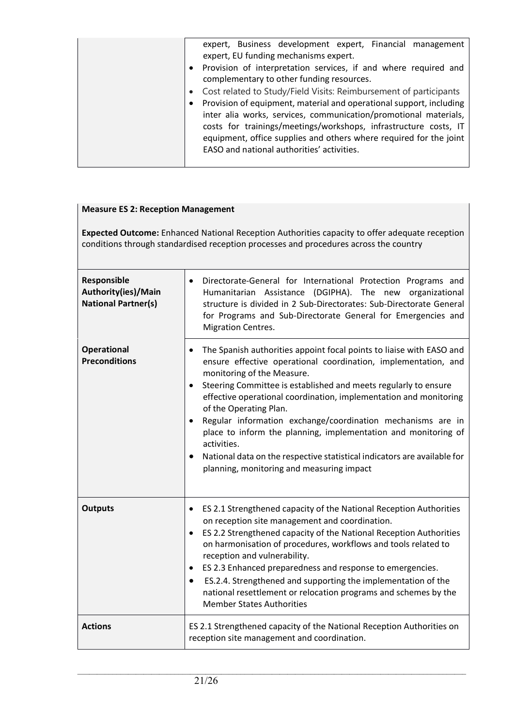| expert, Business development expert, Financial management<br>expert, EU funding mechanisms expert.                                                                                                                                                                                |
|-----------------------------------------------------------------------------------------------------------------------------------------------------------------------------------------------------------------------------------------------------------------------------------|
| Provision of interpretation services, if and where required and<br>$\bullet$<br>complementary to other funding resources.                                                                                                                                                         |
| Cost related to Study/Field Visits: Reimbursement of participants                                                                                                                                                                                                                 |
| Provision of equipment, material and operational support, including<br>inter alia works, services, communication/promotional materials,<br>costs for trainings/meetings/workshops, infrastructure costs, IT<br>equipment, office supplies and others where required for the joint |
| EASO and national authorities' activities.                                                                                                                                                                                                                                        |

## **Measure ES 2: Reception Management**

**Expected Outcome:** Enhanced National Reception Authorities capacity to offer adequate reception conditions through standardised reception processes and procedures across the country

| Responsible<br>Authority(ies)/Main<br><b>National Partner(s)</b> | Directorate-General for International Protection Programs and<br>Humanitarian Assistance (DGIPHA). The new organizational<br>structure is divided in 2 Sub-Directorates: Sub-Directorate General<br>for Programs and Sub-Directorate General for Emergencies and<br><b>Migration Centres.</b>                                                                                                                                                                                                                                                                                                                                             |
|------------------------------------------------------------------|-------------------------------------------------------------------------------------------------------------------------------------------------------------------------------------------------------------------------------------------------------------------------------------------------------------------------------------------------------------------------------------------------------------------------------------------------------------------------------------------------------------------------------------------------------------------------------------------------------------------------------------------|
| <b>Operational</b><br><b>Preconditions</b>                       | The Spanish authorities appoint focal points to liaise with EASO and<br>ensure effective operational coordination, implementation, and<br>monitoring of the Measure.<br>Steering Committee is established and meets regularly to ensure<br>$\bullet$<br>effective operational coordination, implementation and monitoring<br>of the Operating Plan.<br>Regular information exchange/coordination mechanisms are in<br>$\bullet$<br>place to inform the planning, implementation and monitoring of<br>activities.<br>National data on the respective statistical indicators are available for<br>planning, monitoring and measuring impact |
| <b>Outputs</b>                                                   | ES 2.1 Strengthened capacity of the National Reception Authorities<br>٠<br>on reception site management and coordination.<br>ES 2.2 Strengthened capacity of the National Reception Authorities<br>$\bullet$<br>on harmonisation of procedures, workflows and tools related to<br>reception and vulnerability.<br>ES 2.3 Enhanced preparedness and response to emergencies.<br>$\bullet$<br>ES.2.4. Strengthened and supporting the implementation of the<br>$\bullet$<br>national resettlement or relocation programs and schemes by the<br><b>Member States Authorities</b>                                                             |
| <b>Actions</b>                                                   | ES 2.1 Strengthened capacity of the National Reception Authorities on<br>reception site management and coordination.                                                                                                                                                                                                                                                                                                                                                                                                                                                                                                                      |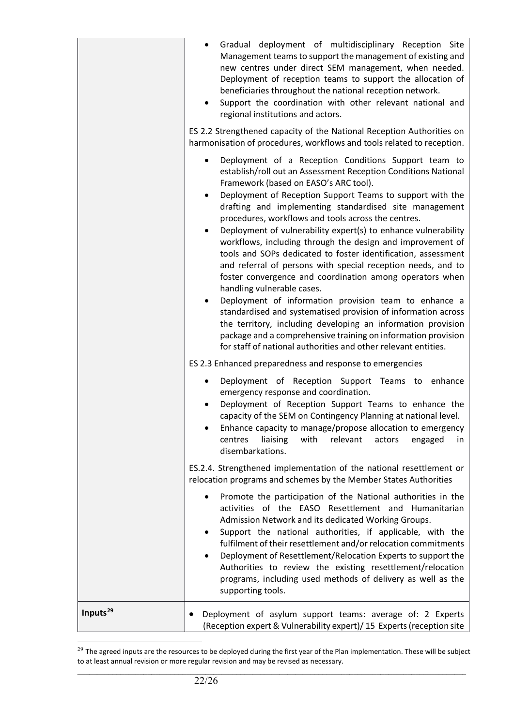|                      | Gradual deployment of multidisciplinary Reception Site<br>Management teams to support the management of existing and<br>new centres under direct SEM management, when needed.<br>Deployment of reception teams to support the allocation of<br>beneficiaries throughout the national reception network.<br>Support the coordination with other relevant national and<br>regional institutions and actors.<br>ES 2.2 Strengthened capacity of the National Reception Authorities on<br>harmonisation of procedures, workflows and tools related to reception.                                                                                                                                                                                                                                                                                                                                                                                                                                                                          |
|----------------------|---------------------------------------------------------------------------------------------------------------------------------------------------------------------------------------------------------------------------------------------------------------------------------------------------------------------------------------------------------------------------------------------------------------------------------------------------------------------------------------------------------------------------------------------------------------------------------------------------------------------------------------------------------------------------------------------------------------------------------------------------------------------------------------------------------------------------------------------------------------------------------------------------------------------------------------------------------------------------------------------------------------------------------------|
|                      | Deployment of a Reception Conditions Support team to<br>establish/roll out an Assessment Reception Conditions National<br>Framework (based on EASO's ARC tool).<br>Deployment of Reception Support Teams to support with the<br>drafting and implementing standardised site management<br>procedures, workflows and tools across the centres.<br>Deployment of vulnerability expert(s) to enhance vulnerability<br>workflows, including through the design and improvement of<br>tools and SOPs dedicated to foster identification, assessment<br>and referral of persons with special reception needs, and to<br>foster convergence and coordination among operators when<br>handling vulnerable cases.<br>Deployment of information provision team to enhance a<br>standardised and systematised provision of information across<br>the territory, including developing an information provision<br>package and a comprehensive training on information provision<br>for staff of national authorities and other relevant entities. |
|                      | ES 2.3 Enhanced preparedness and response to emergencies<br>Deployment of Reception Support Teams to<br>enhance<br>emergency response and coordination.<br>Deployment of Reception Support Teams to enhance the<br>capacity of the SEM on Contingency Planning at national level.<br>Enhance capacity to manage/propose allocation to emergency<br>with<br>liaising<br>relevant<br>centres<br>actors<br>engaged<br>in.<br>disembarkations.                                                                                                                                                                                                                                                                                                                                                                                                                                                                                                                                                                                            |
|                      | ES.2.4. Strengthened implementation of the national resettlement or<br>relocation programs and schemes by the Member States Authorities<br>Promote the participation of the National authorities in the<br>activities of the EASO Resettlement and Humanitarian<br>Admission Network and its dedicated Working Groups.<br>Support the national authorities, if applicable, with the<br>fulfilment of their resettlement and/or relocation commitments<br>Deployment of Resettlement/Relocation Experts to support the<br>Authorities to review the existing resettlement/relocation<br>programs, including used methods of delivery as well as the<br>supporting tools.                                                                                                                                                                                                                                                                                                                                                               |
| Inputs <sup>29</sup> | Deployment of asylum support teams: average of: 2 Experts<br>(Reception expert & Vulnerability expert)/ 15 Experts (reception site                                                                                                                                                                                                                                                                                                                                                                                                                                                                                                                                                                                                                                                                                                                                                                                                                                                                                                    |

<span id="page-21-0"></span> $\_$  ,  $\_$  ,  $\_$  ,  $\_$  ,  $\_$  ,  $\_$  ,  $\_$  ,  $\_$  ,  $\_$  ,  $\_$  ,  $\_$  ,  $\_$  ,  $\_$  ,  $\_$  ,  $\_$  ,  $\_$  ,  $\_$  ,  $\_$  ,  $\_$  ,  $\_$  ,  $\_$  ,  $\_$  ,  $\_$  ,  $\_$  ,  $\_$  ,  $\_$  ,  $\_$  ,  $\_$  ,  $\_$  ,  $\_$  ,  $\_$  ,  $\_$  ,  $\_$  ,  $\_$  ,  $\_$  ,  $\_$  ,  $\_$  ,  $^{29}$  The agreed inputs are the resources to be deployed during the first year of the Plan implementation. These will be subject to at least annual revision or more regular revision and may be revised as necessary.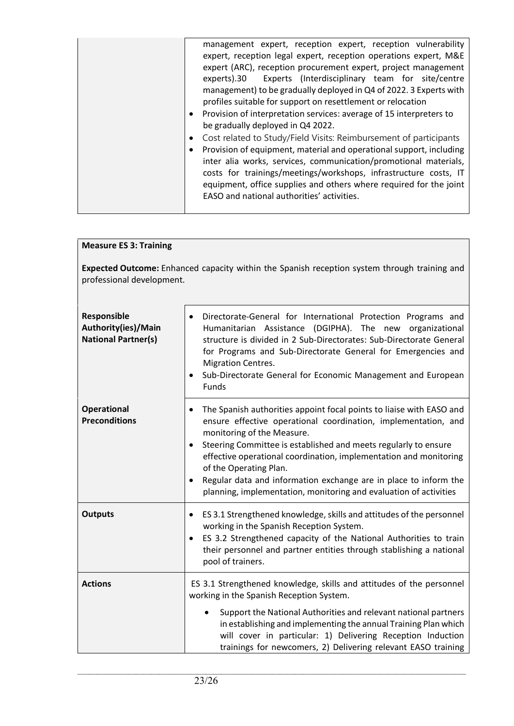| management expert, reception expert, reception vulnerability<br>expert, reception legal expert, reception operations expert, M&E<br>expert (ARC), reception procurement expert, project management<br>Experts (Interdisciplinary team for site/centre<br>experts).30<br>management) to be gradually deployed in Q4 of 2022. 3 Experts with<br>profiles suitable for support on resettlement or relocation<br>• Provision of interpretation services: average of 15 interpreters to<br>be gradually deployed in Q4 2022.<br>• Cost related to Study/Field Visits: Reimbursement of participants<br>Provision of equipment, material and operational support, including<br>٠<br>inter alia works, services, communication/promotional materials,<br>costs for trainings/meetings/workshops, infrastructure costs, IT<br>equipment, office supplies and others where required for the joint |
|------------------------------------------------------------------------------------------------------------------------------------------------------------------------------------------------------------------------------------------------------------------------------------------------------------------------------------------------------------------------------------------------------------------------------------------------------------------------------------------------------------------------------------------------------------------------------------------------------------------------------------------------------------------------------------------------------------------------------------------------------------------------------------------------------------------------------------------------------------------------------------------|
| EASO and national authorities' activities.                                                                                                                                                                                                                                                                                                                                                                                                                                                                                                                                                                                                                                                                                                                                                                                                                                               |

| <b>Measure ES 3: Training</b>                                                                                             |                                                                                                                                                                                                                                                                                                                                                                                                                                                                                                           |
|---------------------------------------------------------------------------------------------------------------------------|-----------------------------------------------------------------------------------------------------------------------------------------------------------------------------------------------------------------------------------------------------------------------------------------------------------------------------------------------------------------------------------------------------------------------------------------------------------------------------------------------------------|
| Expected Outcome: Enhanced capacity within the Spanish reception system through training and<br>professional development. |                                                                                                                                                                                                                                                                                                                                                                                                                                                                                                           |
| Responsible<br>Authority(ies)/Main<br><b>National Partner(s)</b>                                                          | Directorate-General for International Protection Programs and<br>$\bullet$<br>Humanitarian Assistance (DGIPHA). The new organizational<br>structure is divided in 2 Sub-Directorates: Sub-Directorate General<br>for Programs and Sub-Directorate General for Emergencies and<br><b>Migration Centres.</b><br>Sub-Directorate General for Economic Management and European<br>Funds                                                                                                                       |
| <b>Operational</b><br><b>Preconditions</b>                                                                                | The Spanish authorities appoint focal points to liaise with EASO and<br>$\bullet$<br>ensure effective operational coordination, implementation, and<br>monitoring of the Measure.<br>Steering Committee is established and meets regularly to ensure<br>effective operational coordination, implementation and monitoring<br>of the Operating Plan.<br>Regular data and information exchange are in place to inform the<br>$\bullet$<br>planning, implementation, monitoring and evaluation of activities |
| <b>Outputs</b>                                                                                                            | ES 3.1 Strengthened knowledge, skills and attitudes of the personnel<br>٠<br>working in the Spanish Reception System.<br>ES 3.2 Strengthened capacity of the National Authorities to train<br>$\bullet$<br>their personnel and partner entities through stablishing a national<br>pool of trainers.                                                                                                                                                                                                       |
| <b>Actions</b>                                                                                                            | ES 3.1 Strengthened knowledge, skills and attitudes of the personnel<br>working in the Spanish Reception System.<br>Support the National Authorities and relevant national partners<br>in establishing and implementing the annual Training Plan which<br>will cover in particular: 1) Delivering Reception Induction<br>trainings for newcomers, 2) Delivering relevant EASO training                                                                                                                    |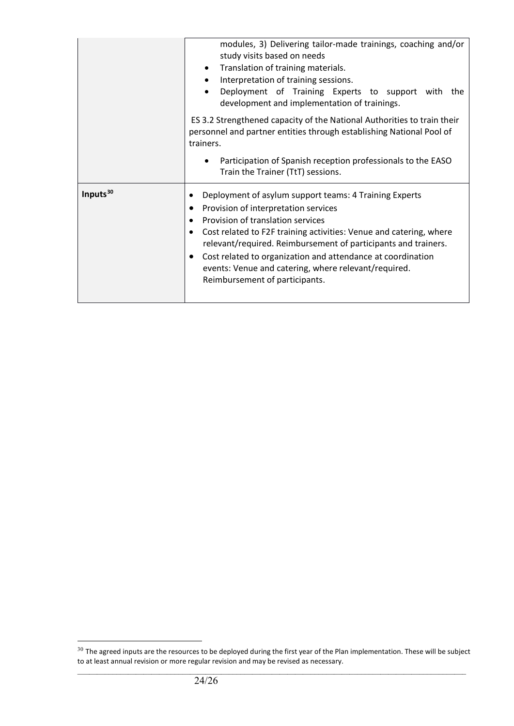|                      | modules, 3) Delivering tailor-made trainings, coaching and/or                                                   |
|----------------------|-----------------------------------------------------------------------------------------------------------------|
|                      | study visits based on needs                                                                                     |
|                      | Translation of training materials.<br>$\bullet$                                                                 |
|                      | Interpretation of training sessions.<br>$\bullet$                                                               |
|                      | Deployment of Training Experts to support with the<br>$\bullet$<br>development and implementation of trainings. |
|                      | ES 3.2 Strengthened capacity of the National Authorities to train their                                         |
|                      | personnel and partner entities through establishing National Pool of                                            |
|                      | trainers.                                                                                                       |
|                      |                                                                                                                 |
|                      | Participation of Spanish reception professionals to the EASO                                                    |
|                      | Train the Trainer (TtT) sessions.                                                                               |
| Inputs <sup>30</sup> | Deployment of asylum support teams: 4 Training Experts                                                          |
|                      | Provision of interpretation services                                                                            |
|                      | Provision of translation services<br>$\bullet$                                                                  |
|                      | Cost related to F2F training activities: Venue and catering, where<br>٠                                         |
|                      | relevant/required. Reimbursement of participants and trainers.                                                  |
|                      | Cost related to organization and attendance at coordination<br>$\bullet$                                        |
|                      | events: Venue and catering, where relevant/required.                                                            |
|                      | Reimbursement of participants.                                                                                  |
|                      |                                                                                                                 |
|                      |                                                                                                                 |

<span id="page-23-0"></span> $\_$  ,  $\_$  ,  $\_$  ,  $\_$  ,  $\_$  ,  $\_$  ,  $\_$  ,  $\_$  ,  $\_$  ,  $\_$  ,  $\_$  ,  $\_$  ,  $\_$  ,  $\_$  ,  $\_$  ,  $\_$  ,  $\_$  ,  $\_$  ,  $\_$  ,  $\_$  ,  $\_$  ,  $\_$  ,  $\_$  ,  $\_$  ,  $\_$  ,  $\_$  ,  $\_$  ,  $\_$  ,  $\_$  ,  $\_$  ,  $\_$  ,  $\_$  ,  $\_$  ,  $\_$  ,  $\_$  ,  $\_$  ,  $\_$  ,  $^{30}$  The agreed inputs are the resources to be deployed during the first year of the Plan implementation. These will be subject to at least annual revision or more regular revision and may be revised as necessary.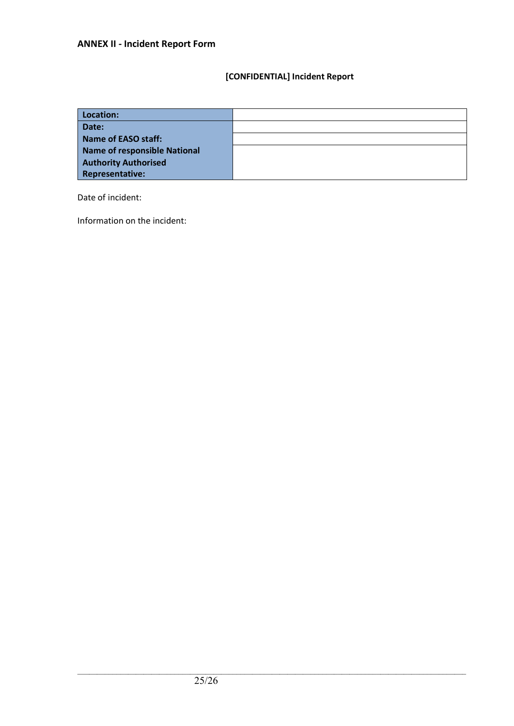## **[CONFIDENTIAL] Incident Report**

| Location:                    |  |
|------------------------------|--|
| Date:                        |  |
| Name of EASO staff:          |  |
| Name of responsible National |  |
| <b>Authority Authorised</b>  |  |
| <b>Representative:</b>       |  |

Date of incident:

Information on the incident: